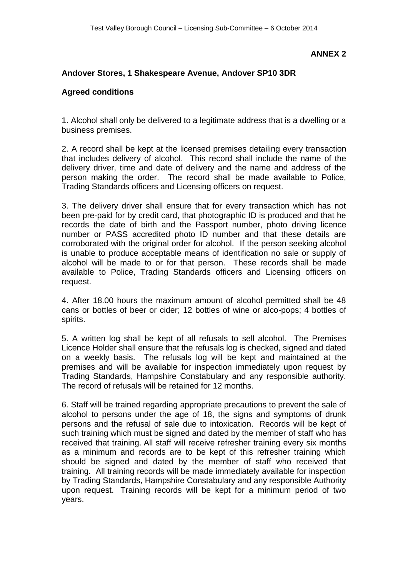## **ANNEX 2**

## **Andover Stores, 1 Shakespeare Avenue, Andover SP10 3DR**

## **Agreed conditions**

1. Alcohol shall only be delivered to a legitimate address that is a dwelling or a business premises.

2. A record shall be kept at the licensed premises detailing every transaction that includes delivery of alcohol. This record shall include the name of the delivery driver, time and date of delivery and the name and address of the person making the order. The record shall be made available to Police, Trading Standards officers and Licensing officers on request.

3. The delivery driver shall ensure that for every transaction which has not been pre-paid for by credit card, that photographic ID is produced and that he records the date of birth and the Passport number, photo driving licence number or PASS accredited photo ID number and that these details are corroborated with the original order for alcohol. If the person seeking alcohol is unable to produce acceptable means of identification no sale or supply of alcohol will be made to or for that person. These records shall be made available to Police, Trading Standards officers and Licensing officers on request.

4. After 18.00 hours the maximum amount of alcohol permitted shall be 48 cans or bottles of beer or cider; 12 bottles of wine or alco-pops; 4 bottles of spirits.

5. A written log shall be kept of all refusals to sell alcohol. The Premises Licence Holder shall ensure that the refusals log is checked, signed and dated on a weekly basis. The refusals log will be kept and maintained at the premises and will be available for inspection immediately upon request by Trading Standards, Hampshire Constabulary and any responsible authority. The record of refusals will be retained for 12 months.

6. Staff will be trained regarding appropriate precautions to prevent the sale of alcohol to persons under the age of 18, the signs and symptoms of drunk persons and the refusal of sale due to intoxication. Records will be kept of such training which must be signed and dated by the member of staff who has received that training. All staff will receive refresher training every six months as a minimum and records are to be kept of this refresher training which should be signed and dated by the member of staff who received that training. All training records will be made immediately available for inspection by Trading Standards, Hampshire Constabulary and any responsible Authority upon request. Training records will be kept for a minimum period of two years.